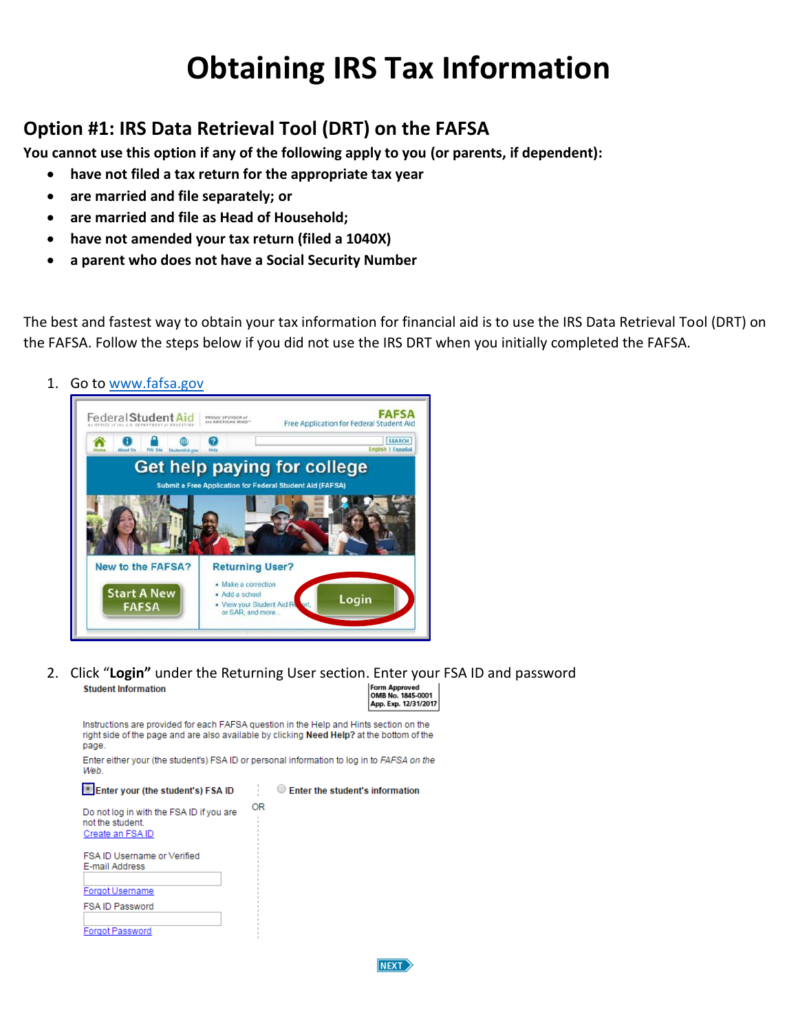### **Option #1: IRS Data Retrieval Tool (DRT) on the FAFSA**

**You cannot use this option if any of the following apply to you (or parents, if dependent):**

- **have not filed a tax return for the appropriate tax year**
- **are married and file separately; or**
- **are married and file as Head of Household;**
- **have not amended your tax return (filed a 1040X)**
- **a parent who does not have a Social Security Number**

The best and fastest way to obtain your tax information for financial aid is to use the IRS Data Retrieval Tool (DRT) on the FAFSA. Follow the steps below if you did not use the IRS DRT when you initially completed the FAFSA.

1. Go t[o www.fafsa.gov](http://www.fafsa.gov/)



2. Click "**Login"** under the Returning User section. Enter your FSA ID and passwordApp. Exp. 12/31/2017

Instructions are provided for each FAFSA question in the Help and Hints section on the right side of the page and are also available by clicking Need Help? at the bottom of the page.

Enter either your (the student's) FSA ID or personal information to log in to FAFSA on the Web.

Enter your (the student's) FSA ID

C Enter the student's information

| Do not log in with the FSA ID if you are<br>not the student.<br>Create an FSA ID | ΟR |
|----------------------------------------------------------------------------------|----|
| FSA ID Username or Verified<br>E-mail Address                                    |    |
|                                                                                  |    |
| Forgot Username                                                                  |    |
| FSA ID Password                                                                  |    |
|                                                                                  |    |

**Forgot Password** 

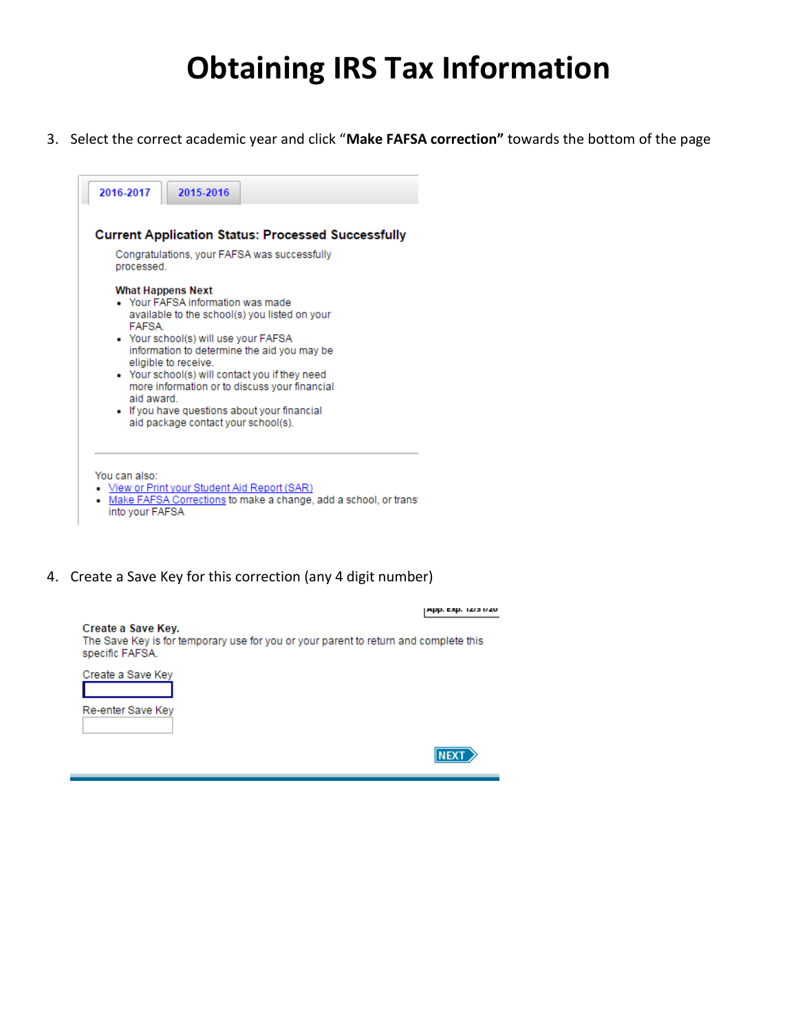3. Select the correct academic year and click "**Make FAFSA correction"** towards the bottom of the page



4. Create a Save Key for this correction (any 4 digit number)

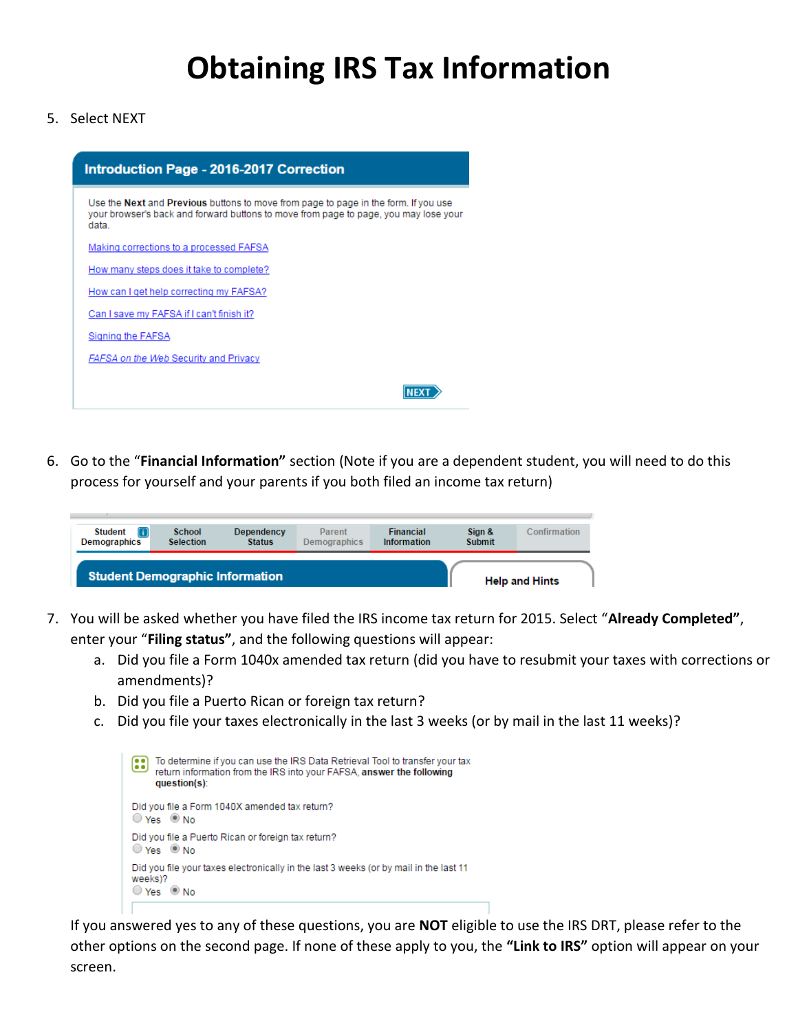#### 5. Select NEXT



6. Go to the "**Financial Information"** section (Note if you are a dependent student, you will need to do this process for yourself and your parents if you both filed an income tax return)

| Student <b>n</b>                       | <b>School</b>    | Dependency    | Parent              | <b>Financial</b>   | Sign &        | Confirmation          |
|----------------------------------------|------------------|---------------|---------------------|--------------------|---------------|-----------------------|
| <b>Demographics</b>                    | <b>Selection</b> | <b>Status</b> | <b>Demographics</b> | <b>Information</b> | <b>Submit</b> |                       |
| <b>Student Demographic Information</b> |                  |               |                     |                    |               | <b>Help and Hints</b> |

- 7. You will be asked whether you have filed the IRS income tax return for 2015. Select "**Already Completed"**, enter your "**Filing status"**, and the following questions will appear:
	- a. Did you file a Form 1040x amended tax return (did you have to resubmit your taxes with corrections or amendments)?
	- b. Did you file a Puerto Rican or foreign tax return?
	- c. Did you file your taxes electronically in the last 3 weeks (or by mail in the last 11 weeks)?

| To determine if you can use the IRS Data Retrieval Tool to transfer your tax<br>83<br>return information from the IRS into your FAFSA, answer the following<br>question(s): |
|-----------------------------------------------------------------------------------------------------------------------------------------------------------------------------|
| Did you file a Form 1040X amended tax return?<br>$\bigcirc$ Yes $\circledcirc$ No                                                                                           |
| Did you file a Puerto Rican or foreign tax return?<br>$\bigcirc$ Yes $\bigcirc$ No                                                                                          |
| Did you file your taxes electronically in the last 3 weeks (or by mail in the last 11<br>weeks)?<br>Yes ONo                                                                 |
|                                                                                                                                                                             |

If you answered yes to any of these questions, you are **NOT** eligible to use the IRS DRT, please refer to the other options on the second page. If none of these apply to you, the **"Link to IRS"** option will appear on your screen.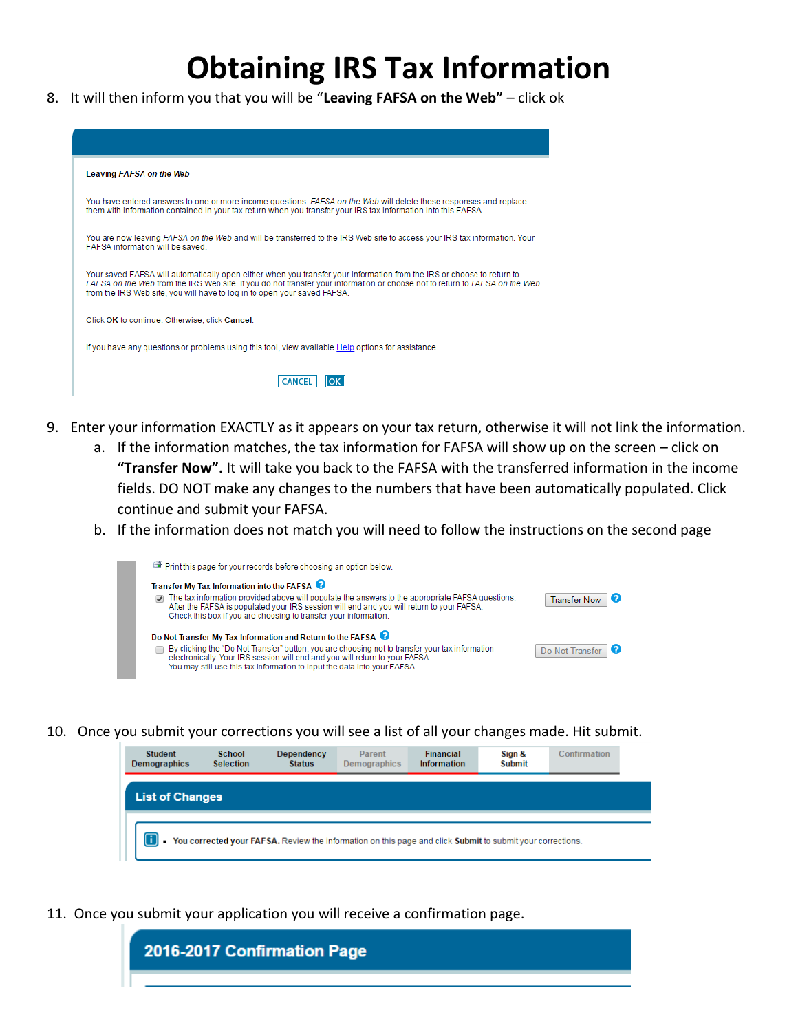8. It will then inform you that you will be "**Leaving FAFSA on the Web"** – click ok



- 9. Enter your information EXACTLY as it appears on your tax return, otherwise it will not link the information.
	- a. If the information matches, the tax information for FAFSA will show up on the screen click on **"Transfer Now".** It will take you back to the FAFSA with the transferred information in the income fields. DO NOT make any changes to the numbers that have been automatically populated. Click continue and submit your FAFSA.
	- b. If the information does not match you will need to follow the instructions on the second page



10. Once you submit your corrections you will see a list of all your changes made. Hit submit.



11. Once you submit your application you will receive a confirmation page.